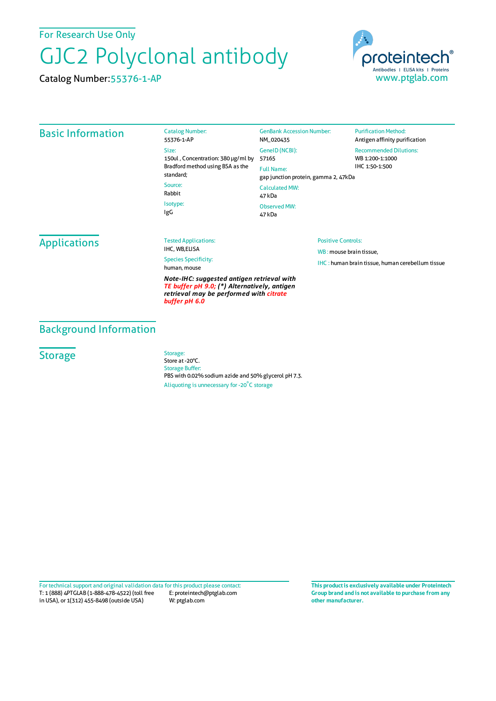For Research Use Only

# GJC2 Polyclonal antibody

Catalog Number:55376-1-AP



#### Basic Information

Catalog Number: 55376-1-AP Size: 150ul , Concentration: 380 μg/ml by 57165 Bradford method using BSA as the standard; Source: Rabbit Isotype:

GenBank Accession Number: NM\_020435 GeneID(NCBI): Full Name: gap junction protein, gamma 2, 47kDa CalculatedMW: 47 kDa Observed MW: 47 kDa

**Purification Method:** Antigen affinity purification Recommended Dilutions: WB 1:200-1:1000 IHC 1:50-1:500

**Applications** 

Tested Applications: IHC, WB,ELISA

Species Specificity: human, mouse

IgG

*Note-IHC: suggested antigen retrieval with TE buffer pH 9.0; (\*) Alternatively, antigen retrieval may be performed with citrate buffer pH 6.0*

#### Positive Controls:

WB : mouse brain tissue, IHC : human brain tissue, human cerebellum tissue

#### Background Information

### **Storage**

Storage: Store at -20°C. Storage Buffer: PBS with 0.02% sodium azide and 50% glycerol pH 7.3. Aliquoting is unnecessary for -20<sup>°</sup>C storage

T: 1 (888) 4PTGLAB (1-888-478-4522) (toll free in USA), or 1(312) 455-8498 (outside USA) E: proteintech@ptglab.com W: ptglab.com Fortechnical support and original validation data forthis product please contact: **This productis exclusively available under Proteintech**

**Group brand and is not available to purchase from any other manufacturer.**